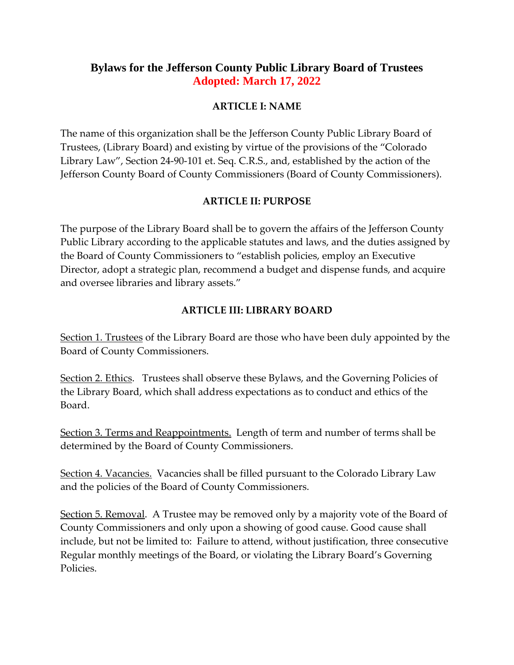# **Bylaws for the Jefferson County Public Library Board of Trustees Adopted: March 17, 2022**

### **ARTICLE I: NAME**

The name of this organization shall be the Jefferson County Public Library Board of Trustees, (Library Board) and existing by virtue of the provisions of the "Colorado Library Law", Section 24-90-101 et. Seq. C.R.S., and, established by the action of the Jefferson County Board of County Commissioners (Board of County Commissioners).

## **ARTICLE II: PURPOSE**

The purpose of the Library Board shall be to govern the affairs of the Jefferson County Public Library according to the applicable statutes and laws, and the duties assigned by the Board of County Commissioners to "establish policies, employ an Executive Director, adopt a strategic plan, recommend a budget and dispense funds, and acquire and oversee libraries and library assets."

## **ARTICLE III: LIBRARY BOARD**

Section 1. Trustees of the Library Board are those who have been duly appointed by the Board of County Commissioners.

Section 2. Ethics. Trustees shall observe these Bylaws, and the Governing Policies of the Library Board, which shall address expectations as to conduct and ethics of the Board.

Section 3. Terms and Reappointments. Length of term and number of terms shall be determined by the Board of County Commissioners.

Section 4. Vacancies. Vacancies shall be filled pursuant to the Colorado Library Law and the policies of the Board of County Commissioners.

Section 5. Removal. A Trustee may be removed only by a majority vote of the Board of County Commissioners and only upon a showing of good cause. Good cause shall include, but not be limited to: Failure to attend, without justification, three consecutive Regular monthly meetings of the Board, or violating the Library Board's Governing Policies.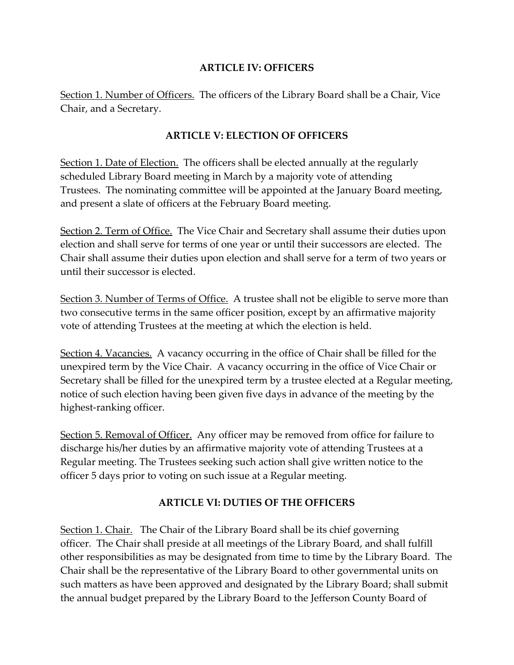### **ARTICLE IV: OFFICERS**

Section 1. Number of Officers. The officers of the Library Board shall be a Chair, Vice Chair, and a Secretary.

## **ARTICLE V: ELECTION OF OFFICERS**

Section 1. Date of Election. The officers shall be elected annually at the regularly scheduled Library Board meeting in March by a majority vote of attending Trustees. The nominating committee will be appointed at the January Board meeting, and present a slate of officers at the February Board meeting.

Section 2. Term of Office. The Vice Chair and Secretary shall assume their duties upon election and shall serve for terms of one year or until their successors are elected. The Chair shall assume their duties upon election and shall serve for a term of two years or until their successor is elected.

Section 3. Number of Terms of Office. A trustee shall not be eligible to serve more than two consecutive terms in the same officer position, except by an affirmative majority vote of attending Trustees at the meeting at which the election is held.

Section 4. Vacancies. A vacancy occurring in the office of Chair shall be filled for the unexpired term by the Vice Chair. A vacancy occurring in the office of Vice Chair or Secretary shall be filled for the unexpired term by a trustee elected at a Regular meeting, notice of such election having been given five days in advance of the meeting by the highest-ranking officer.

Section 5. Removal of Officer. Any officer may be removed from office for failure to discharge his/her duties by an affirmative majority vote of attending Trustees at a Regular meeting. The Trustees seeking such action shall give written notice to the officer 5 days prior to voting on such issue at a Regular meeting.

## **ARTICLE VI: DUTIES OF THE OFFICERS**

Section 1. Chair. The Chair of the Library Board shall be its chief governing officer. The Chair shall preside at all meetings of the Library Board, and shall fulfill other responsibilities as may be designated from time to time by the Library Board. The Chair shall be the representative of the Library Board to other governmental units on such matters as have been approved and designated by the Library Board; shall submit the annual budget prepared by the Library Board to the Jefferson County Board of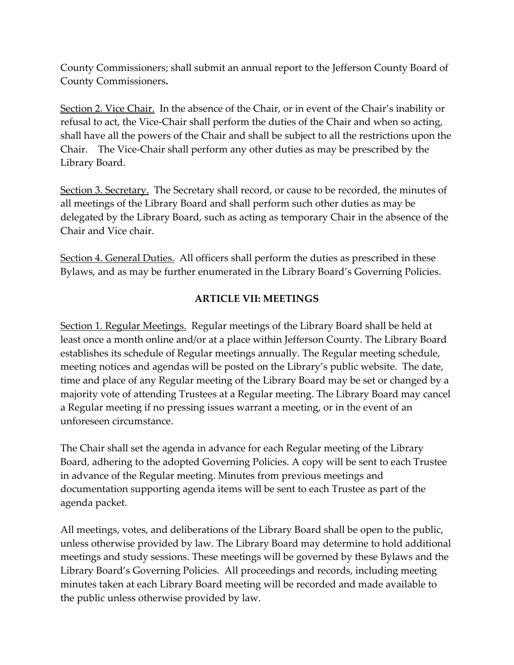County Commissioners; shall submit an annual report to the Jefferson County Board of County Commissioners**.**

Section 2. Vice Chair. In the absence of the Chair, or in event of the Chair's inability or refusal to act, the Vice-Chair shall perform the duties of the Chair and when so acting, shall have all the powers of the Chair and shall be subject to all the restrictions upon the Chair. The Vice-Chair shall perform any other duties as may be prescribed by the Library Board.

Section 3. Secretary. The Secretary shall record, or cause to be recorded, the minutes of all meetings of the Library Board and shall perform such other duties as may be delegated by the Library Board, such as acting as temporary Chair in the absence of the Chair and Vice chair.

Section 4. General Duties. All officers shall perform the duties as prescribed in these Bylaws, and as may be further enumerated in the Library Board's Governing Policies.

#### **ARTICLE VII: MEETINGS**

Section 1. Regular Meetings. Regular meetings of the Library Board shall be held at least once a month online and/or at a place within Jefferson County. The Library Board establishes its schedule of Regular meetings annually. The Regular meeting schedule, meeting notices and agendas will be posted on the Library's public website. The date, time and place of any Regular meeting of the Library Board may be set or changed by a majority vote of attending Trustees at a Regular meeting. The Library Board may cancel a Regular meeting if no pressing issues warrant a meeting, or in the event of an unforeseen circumstance.

The Chair shall set the agenda in advance for each Regular meeting of the Library Board, adhering to the adopted Governing Policies. A copy will be sent to each Trustee in advance of the Regular meeting. Minutes from previous meetings and documentation supporting agenda items will be sent to each Trustee as part of the agenda packet.

All meetings, votes, and deliberations of the Library Board shall be open to the public, unless otherwise provided by law. The Library Board may determine to hold additional meetings and study sessions. These meetings will be governed by these Bylaws and the Library Board's Governing Policies. All proceedings and records, including meeting minutes taken at each Library Board meeting will be recorded and made available to the public unless otherwise provided by law.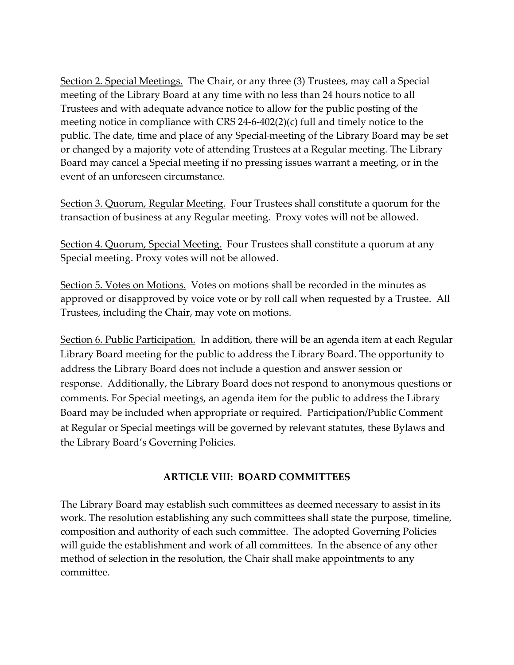Section 2. Special Meetings. The Chair, or any three (3) Trustees, may call a Special meeting of the Library Board at any time with no less than 24 hours notice to all Trustees and with adequate advance notice to allow for the public posting of the meeting notice in compliance with CRS 24-6-402(2)(c) full and timely notice to the public. The date, time and place of any Special meeting of the Library Board may be set or changed by a majority vote of attending Trustees at a Regular meeting. The Library Board may cancel a Special meeting if no pressing issues warrant a meeting, or in the event of an unforeseen circumstance.

Section 3. Quorum, Regular Meeting. Four Trustees shall constitute a quorum for the transaction of business at any Regular meeting. Proxy votes will not be allowed.

Section 4. Quorum, Special Meeting. Four Trustees shall constitute a quorum at any Special meeting. Proxy votes will not be allowed.

Section 5. Votes on Motions. Votes on motions shall be recorded in the minutes as approved or disapproved by voice vote or by roll call when requested by a Trustee. All Trustees, including the Chair, may vote on motions.

Section 6. Public Participation. In addition, there will be an agenda item at each Regular Library Board meeting for the public to address the Library Board. The opportunity to address the Library Board does not include a question and answer session or response. Additionally, the Library Board does not respond to anonymous questions or comments. For Special meetings, an agenda item for the public to address the Library Board may be included when appropriate or required. Participation/Public Comment at Regular or Special meetings will be governed by relevant statutes, these Bylaws and the Library Board's Governing Policies.

#### **ARTICLE VIII: BOARD COMMITTEES**

The Library Board may establish such committees as deemed necessary to assist in its work. The resolution establishing any such committees shall state the purpose, timeline, composition and authority of each such committee. The adopted Governing Policies will guide the establishment and work of all committees. In the absence of any other method of selection in the resolution, the Chair shall make appointments to any committee.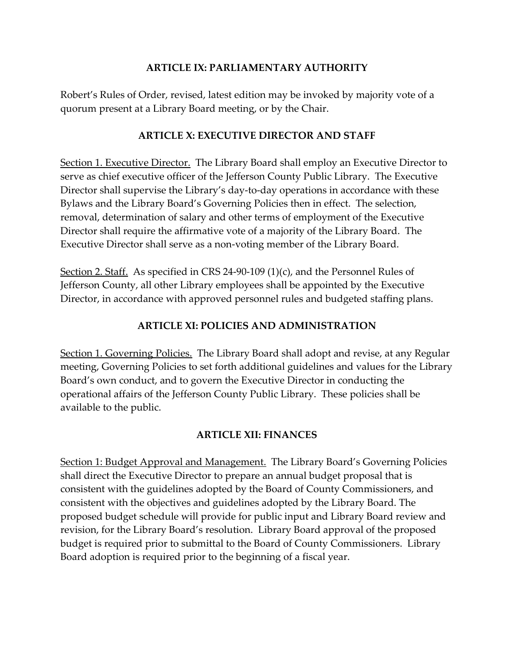#### **ARTICLE IX: PARLIAMENTARY AUTHORITY**

Robert's Rules of Order, revised, latest edition may be invoked by majority vote of a quorum present at a Library Board meeting, or by the Chair.

#### **ARTICLE X: EXECUTIVE DIRECTOR AND STAFF**

Section 1. Executive Director. The Library Board shall employ an Executive Director to serve as chief executive officer of the Jefferson County Public Library. The Executive Director shall supervise the Library's day-to-day operations in accordance with these Bylaws and the Library Board's Governing Policies then in effect. The selection, removal, determination of salary and other terms of employment of the Executive Director shall require the affirmative vote of a majority of the Library Board. The Executive Director shall serve as a non-voting member of the Library Board.

Section 2. Staff. As specified in CRS 24-90-109 (1)(c), and the Personnel Rules of Jefferson County, all other Library employees shall be appointed by the Executive Director, in accordance with approved personnel rules and budgeted staffing plans.

## **ARTICLE XI: POLICIES AND ADMINISTRATION**

Section 1. Governing Policies. The Library Board shall adopt and revise, at any Regular meeting, Governing Policies to set forth additional guidelines and values for the Library Board's own conduct, and to govern the Executive Director in conducting the operational affairs of the Jefferson County Public Library. These policies shall be available to the public.

#### **ARTICLE XII: FINANCES**

Section 1: Budget Approval and Management. The Library Board's Governing Policies shall direct the Executive Director to prepare an annual budget proposal that is consistent with the guidelines adopted by the Board of County Commissioners, and consistent with the objectives and guidelines adopted by the Library Board. The proposed budget schedule will provide for public input and Library Board review and revision, for the Library Board's resolution. Library Board approval of the proposed budget is required prior to submittal to the Board of County Commissioners. Library Board adoption is required prior to the beginning of a fiscal year.